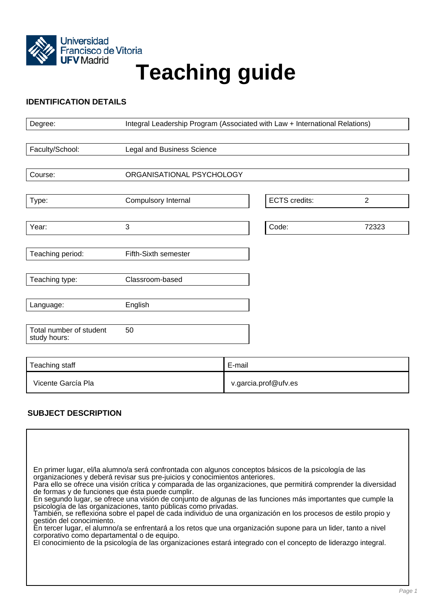

# Universidad<br>Francisco de Vitoria<br>UFV Madrid<br>**Teaching guide**

# **IDENTIFICATION DETAILS**

| Degree:                                 | Integral Leadership Program (Associated with Law + International Relations) |        |                      |                |
|-----------------------------------------|-----------------------------------------------------------------------------|--------|----------------------|----------------|
|                                         |                                                                             |        |                      |                |
| Faculty/School:                         | Legal and Business Science                                                  |        |                      |                |
|                                         |                                                                             |        |                      |                |
| Course:                                 | ORGANISATIONAL PSYCHOLOGY                                                   |        |                      |                |
|                                         |                                                                             |        |                      |                |
| Type:                                   | Compulsory Internal                                                         |        | <b>ECTS</b> credits: | $\overline{2}$ |
|                                         |                                                                             |        |                      |                |
| Year:                                   | $\mathbf{3}$                                                                |        | Code:                | 72323          |
|                                         |                                                                             |        |                      |                |
| Teaching period:                        | Fifth-Sixth semester                                                        |        |                      |                |
|                                         |                                                                             |        |                      |                |
| Teaching type:                          | Classroom-based                                                             |        |                      |                |
|                                         |                                                                             |        |                      |                |
| Language:                               | English                                                                     |        |                      |                |
|                                         |                                                                             |        |                      |                |
| Total number of student<br>study hours: | 50                                                                          |        |                      |                |
|                                         |                                                                             |        |                      |                |
| Teaching staff                          |                                                                             | E-mail |                      |                |
| Vicente García Pla                      |                                                                             |        | v.garcia.prof@ufv.es |                |

# **SUBJECT DESCRIPTION**

| En primer lugar, el/la alumno/a será confrontada con algunos conceptos básicos de la psicología de las<br>organizaciones y deberá revisar sus pre-juicios y conocimientos anteriores.<br>Para ello se ofrece una visión crítica y comparada de las organizaciones, que permitirá comprender la diversidad<br>de formas y de funciones que ésta puede cumplir.<br>En segundo lugar, se ofrece una visión de conjunto de algunas de las funciones más importantes que cumple la<br>psicología de las organizaciones, tanto públicas como privadas.<br>También, se reflexiona sobre el papel de cada individuo de una organización en los procesos de estilo propio y<br>gestión del conocimiento.<br>En tercer lugar, el alumno/a se enfrentará a los retos que una organización supone para un lider, tanto a nivel<br>corporativo como departamental o de equipo.<br>El conocimiento de la psicología de las organizaciones estará integrado con el concepto de liderazgo integral. |
|-------------------------------------------------------------------------------------------------------------------------------------------------------------------------------------------------------------------------------------------------------------------------------------------------------------------------------------------------------------------------------------------------------------------------------------------------------------------------------------------------------------------------------------------------------------------------------------------------------------------------------------------------------------------------------------------------------------------------------------------------------------------------------------------------------------------------------------------------------------------------------------------------------------------------------------------------------------------------------------|
|-------------------------------------------------------------------------------------------------------------------------------------------------------------------------------------------------------------------------------------------------------------------------------------------------------------------------------------------------------------------------------------------------------------------------------------------------------------------------------------------------------------------------------------------------------------------------------------------------------------------------------------------------------------------------------------------------------------------------------------------------------------------------------------------------------------------------------------------------------------------------------------------------------------------------------------------------------------------------------------|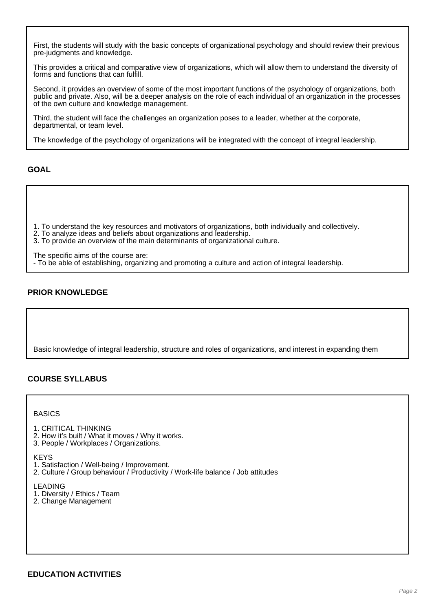First, the students will study with the basic concepts of organizational psychology and should review their previous pre-judgments and knowledge.

This provides a critical and comparative view of organizations, which will allow them to understand the diversity of forms and functions that can fulfill.

Second, it provides an overview of some of the most important functions of the psychology of organizations, both public and private. Also, will be a deeper analysis on the role of each individual of an organization in the processes of the own culture and knowledge management.

Third, the student will face the challenges an organization poses to a leader, whether at the corporate, departmental, or team level.

The knowledge of the psychology of organizations will be integrated with the concept of integral leadership.

**GOAL**

- 1. To understand the key resources and motivators of organizations, both individually and collectively.
- 2. To analyze ideas and beliefs about organizations and leadership.
- 3. To provide an overview of the main determinants of organizational culture.
- The specific aims of the course are:
- To be able of establishing, organizing and promoting a culture and action of integral leadership.

# **PRIOR KNOWLEDGE**

Basic knowledge of integral leadership, structure and roles of organizations, and interest in expanding them

# **COURSE SYLLABUS**

**BASICS** 

- 1. CRITICAL THINKING
- 2. How it's built / What it moves / Why it works.
- 3. People / Workplaces / Organizations.

**KFYS** 

- 1. Satisfaction / Well-being / Improvement.
- 2. Culture / Group behaviour / Productivity / Work-life balance / Job attitudes

LEADING

- 1. Diversity / Ethics / Team
- 2. Change Management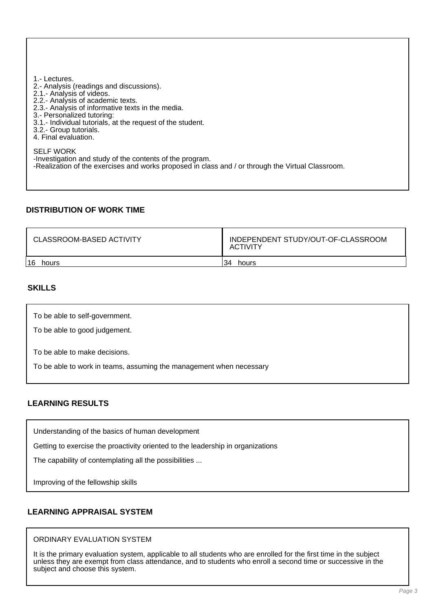1.- Lectures. 2.- Analysis (readings and discussions). 2.1.- Analysis of videos. 2.2.- Analysis of academic texts. 2.3.- Analysis of informative texts in the media. 3.- Personalized tutoring: 3.1.- Individual tutorials, at the request of the student. 3.2.- Group tutorials. 4. Final evaluation. SELF WORK -Investigation and study of the contents of the program. -Realization of the exercises and works proposed in class and / or through the Virtual Classroom.

#### **DISTRIBUTION OF WORK TIME**

| CLASSROOM-BASED ACTIVITY | INDEPENDENT STUDY/OUT-OF-CLASSROOM<br>ACTIVITY |  |
|--------------------------|------------------------------------------------|--|
| 16                       | 34                                             |  |
| hours                    | hours                                          |  |

## **SKILLS**

To be able to self-government.

To be able to good judgement.

To be able to make decisions.

To be able to work in teams, assuming the management when necessary

## **LEARNING RESULTS**

Understanding of the basics of human development

Getting to exercise the proactivity oriented to the leadership in organizations

The capability of contemplating all the possibilities ...

Improving of the fellowship skills

## **LEARNING APPRAISAL SYSTEM**

#### ORDINARY EVALUATION SYSTEM

It is the primary evaluation system, applicable to all students who are enrolled for the first time in the subject unless they are exempt from class attendance, and to students who enroll a second time or successive in the subject and choose this system.